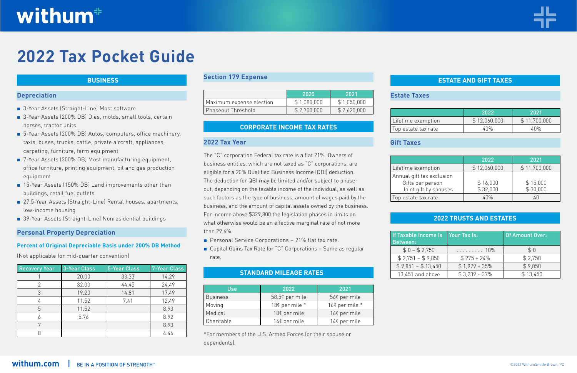#### **Depreciation**

- 3-Year Assets (Straight-Line) Most software
- 3-Year Assets (200% DB) Dies, molds, small tools, certain horses, tractor units
- 5-Year Assets (200% DB) Autos, computers, office machinery, taxis, buses, trucks, cattle, private aircraft, appliances, carpeting, furniture, farm equipment
- **■** 7-Year Assets (200% DB) Most manufacturing equipment, office furniture, printing equipment, oil and gas production equipment
- 15-Year Assets (150% DB) Land improvements other than buildings, retail fuel outlets
- 27.5-Year Assets (Straight-Line) Rental houses, apartments, low-income housing
- **■** 39-Year Assets (Straight-Line) Nonresidential buildings

#### **Personal Property Depreciation**

#### **Percent of Original Depreciable Basis under 200% DB Method**

(Not applicable for mid-quarter convention)

- Personal Service Corporations 21% flat tax rate.
- Capital Gains Tax Rate for "C" Corporations Same as regular rate.

| <b>Recovery Year</b> | <b>3-Year Class</b> | <b>5-Year Class</b> | 7-Year Class |
|----------------------|---------------------|---------------------|--------------|
|                      | 20.00               | 33.33               | 14.29        |
| $\overline{2}$       | 32.00               | 44.45               | 24.49        |
| 3                    | 19.20               | 14.81               | 17.49        |
|                      | 11.52               | 7.41                | 12.49        |
| 5                    | 11.52               |                     | 8.93         |
|                      | 5.76                |                     | 8.92         |
| 7                    |                     |                     | 8.93         |
|                      |                     |                     | 4.46         |

#### **Section 179 Expense**

|                           | 120201      | 2021        |
|---------------------------|-------------|-------------|
| Maximum expense election  | \$1,080,000 | \$1,050,000 |
| <b>Phaseout Threshold</b> | \$2,700,000 | \$2,620,000 |

#### **2022 Tax Year**

The "C" corporation Federal tax rate is a flat 21%. Owners of business entities, which are not taxed as "C" corporations, are eligible for a 20% Qualified Business Income (QBI) deduction. The deduction for QBI may be limited and/or subject to phaseout, depending on the taxable income of the individual, as well as such factors as the type of business, amount of wages paid by the business, and the amount of capital assets owned by the business. For income above \$329,800 the legislation phases in limits on what otherwise would be an effective marginal rate of not more than 29.6%.

| <b>Use</b>      | 2022           | 2021             |
|-----------------|----------------|------------------|
| <b>Business</b> | 58.5¢ per mile | 56¢ per mile     |
| Moving          | 18¢ per mile * | 16¢ per mile $*$ |
| Medical         | 18¢ per mile   | 16¢ per mile     |
| Charitable      | 14¢ per mile   | 14¢ per mile     |

\*For members of the U.S. Armed Forces (or their spouse or dependents).

#### **Estate Taxes**

|                     | 2022         | 2021         |
|---------------------|--------------|--------------|
| Lifetime exemption  | \$12,060,000 | \$11,700,000 |
| Top estate tax rate | 4በ%          |              |

# **Gift Taxes**

|                                                                        | 2022                 | 2021                 |
|------------------------------------------------------------------------|----------------------|----------------------|
| Lifetime exemption                                                     | \$12,060,000         | \$11,700,000         |
| Annual gift tax exclusion<br>Gifts per person<br>Joint gift by spouses | \$16,000<br>\$32,000 | \$15,000<br>\$30,000 |
| Top estate tax rate                                                    | 4በ%                  |                      |

| If Taxable Income Is<br>Between: | Your Tax Is:    | <b>Of Amount Over:</b> |
|----------------------------------|-----------------|------------------------|
| $$0 - $2,750$                    | $\cdots$ 10%    | \$0                    |
| $$2,751 - $9,850$                | $$275 + 24\%$   | \$2,750                |
| $$9,851 - $13,450$               | $$1,979 + 35\%$ | \$9,850                |
| 13,451 and above                 | $$3,239 + 37\%$ | \$13,450               |



# withum<sup>#</sup>

# **2022 Tax Pocket Guide**

#### **BUSINESS**

#### **CORPORATE INCOME TAX RATES**

# **STANDARD MILEAGE RATES**

# **ESTATE AND GIFT TAXES**

# **2022 TRUSTS AND ESTATES**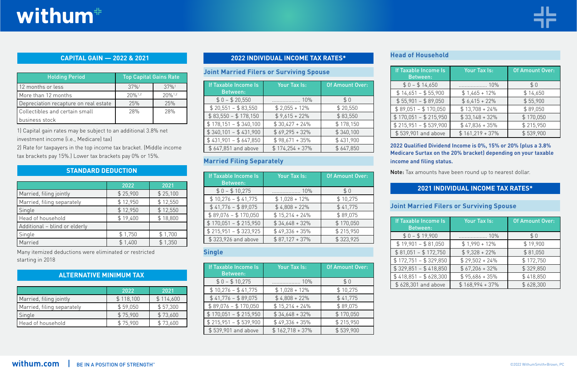1) Capital gain rates may be subject to an additional 3.8% net investment income (i.e., Medicare) tax)

2) Rate for taxpayers in the top income tax bracket. (Middle income tax brackets pay 15%.) Lower tax brackets pay 0% or 15%.

|                               | 2022     | 2021     |
|-------------------------------|----------|----------|
| Married, filing jointly       | \$25,900 | \$25,100 |
| Married, filing separately    | \$12,950 | \$12,550 |
| Single                        | \$12,950 | \$12,550 |
| Head of household             | \$19,400 | \$18,800 |
| Additional - blind or elderly |          |          |
| Single                        | \$1,750  | \$1,700  |
| Married                       | \$1,400  | \$1,350  |

Many itemized deductions were eliminated or restricted starting in 2018

|                            | 2022      | 2021      |
|----------------------------|-----------|-----------|
| Married, filing jointly    | \$118,100 | \$114,600 |
| Married, filing separately | \$59,050  | \$57,300  |
| Single                     | \$75,900  | \$73,600  |
| Head of household          | \$75,900  | \$73,600  |

#### **Joint Married Filers or Surviving Spouse**

| If Taxable Income Is<br><b>Between:</b> | Your Tax Is:      | <b>Of Amount Over:</b> |
|-----------------------------------------|-------------------|------------------------|
| $$0 - $20,550$                          | . 10%             | \$0                    |
| $$20,551 - $83,550$                     | $$2,055 + 12\%$   | \$20,550               |
| $$83,550 - $178,150$                    | $$9,615 + 22\%$   | \$83,550               |
| $$178,151 - $340,100$                   | $$30,427 + 24\%$  | \$178,150              |
| $$340,101 - $431,900$                   | $$69,295 + 32\%$  | \$340,100              |
| $$431,901 - $647,850$                   | $$98,671 + 35\%$  | \$431,900              |
| \$647,851 and above                     | $$174,254 + 37\%$ | \$647,850              |

# **Married Filing Separately**

| If Taxable Income Is<br><b>Between:</b> | Your Tax Is:     | <b>Of Amount Over:</b> |
|-----------------------------------------|------------------|------------------------|
| $$0 - $10,275$                          |                  | \$0                    |
| $$10,276 - $41,775$                     | $$1,028 + 12\%$  | \$10,275               |
| $$41,776 - $89,075$                     | $$4.808 + 22\%$  | \$41,775               |
| $$89,076 - $170,050$                    | $$15,214 + 24\%$ | \$89,075               |
| $$170,051 - $215,950$                   | $$34,648 + 32\%$ | \$170,050              |
| $$215,951 - $323,925$                   | $$49,336 + 35\%$ | \$215,950              |
| \$323,926 and above                     | $$87,127 + 37\%$ | \$323,925              |

| <b>Holding Period</b>                 | <b>Top Capital Gains Rate</b> |                       |
|---------------------------------------|-------------------------------|-----------------------|
| 12 months or less                     | $37%$ <sup>1</sup>            | $37\%$ <sup>1</sup>   |
| More than 12 months                   | $20\%$ <sup>1,2</sup>         | $20\%$ <sup>1,2</sup> |
| Depreciation recapture on real estate | 25%                           | 25%                   |
| Collectibles and certain small        | 28%                           | 28%                   |
| business stock                        |                               |                       |

# **Single**

| <b>If Taxable Income Is</b><br><b>Between:</b> | Your Tax Is:      | <b>Of Amount Over:</b> |
|------------------------------------------------|-------------------|------------------------|
| $$0 - $10,275$                                 |                   | \$0                    |
| $$10,276 - $41,775$                            | $$1,028 + 12\%$   | \$10,275               |
| $$41,776 - $89,075$                            | $$4.808 + 22\%$   | \$41,775               |
| $$89,076 - $170,050$                           | $$15,214 + 24\%$  | \$89,075               |
| $$170,051 - $215,950$                          | $$34,648 + 32\%$  | \$170,050              |
| $$215,951 - $539,900$                          | $$49,336 + 35\%$  | \$215,950              |
| \$539,901 and above                            | $$162,718 + 37\%$ | \$539,900              |

# **Head of Household**

| If Taxable Income Is  | Your Tax Is:      | <b>Of Amount Over:</b> |
|-----------------------|-------------------|------------------------|
| <b>Between:</b>       |                   |                        |
| $$0 - $14,650$        | . 10%             | \$0                    |
| $$14,651 - $55,900$   | $$1,465 + 12\%$   | \$14,650               |
| $$55,901 - $89,050$   | $$6,415 + 22\%$   | \$55,900               |
| $$89,051 - $170,050$  | $$13,708 + 24\%$  | \$89,050               |
| $$170,051 - $215,950$ | $$33,148 + 32\%$  | \$170,050              |
| $$215,951 - $539,900$ | $$47,836 + 35\%$  | \$215,950              |
| \$539,901 and above   | $$161,219 + 37\%$ | \$539,900              |

#### **2022 Qualified Dividend Income is 0%, 15% or 20% (plus a 3.8% Medicare Surtax on the 20% bracket) depending on your taxable income and filing status.**

Note: Tax amounts have been round up to nearest dollar.

# **Joint Married Filers or Surviving Spouse**

| If Taxable Income Is<br><b>Between:</b> | <b>Your Tax Is:</b> | <b>Of Amount Over:</b> |
|-----------------------------------------|---------------------|------------------------|
| $$0 - $19,900$                          | 10%                 | \$0                    |
| $$19,901 - $81,050$                     | $$1,990 + 12\%$     | \$19,900               |
| $$81,051 - $172,750$                    | $$9,328 + 22\%$     | \$81,050               |
| $$172,751 - $329,850$                   | $$29,502 + 24\%$    | \$172,750              |
| $$329,851 - $418,850$                   | $$67,206 + 32\%$    | \$329,850              |
| $$418,851 - $628,300$                   | $$95,686 + 35\%$    | \$418,850              |
| \$628,301 and above                     | $$168,994 + 37\%$   | \$628,300              |



### **CAPITAL GAIN — 2022 & 2021 2022 INDIVIDUAL INCOME TAX RATES\***

# **STANDARD DEDUCTION**

### **ALTERNATIVE MINIMUM TAX**

# **2021 INDIVIDUAL INCOME TAX RATES\***